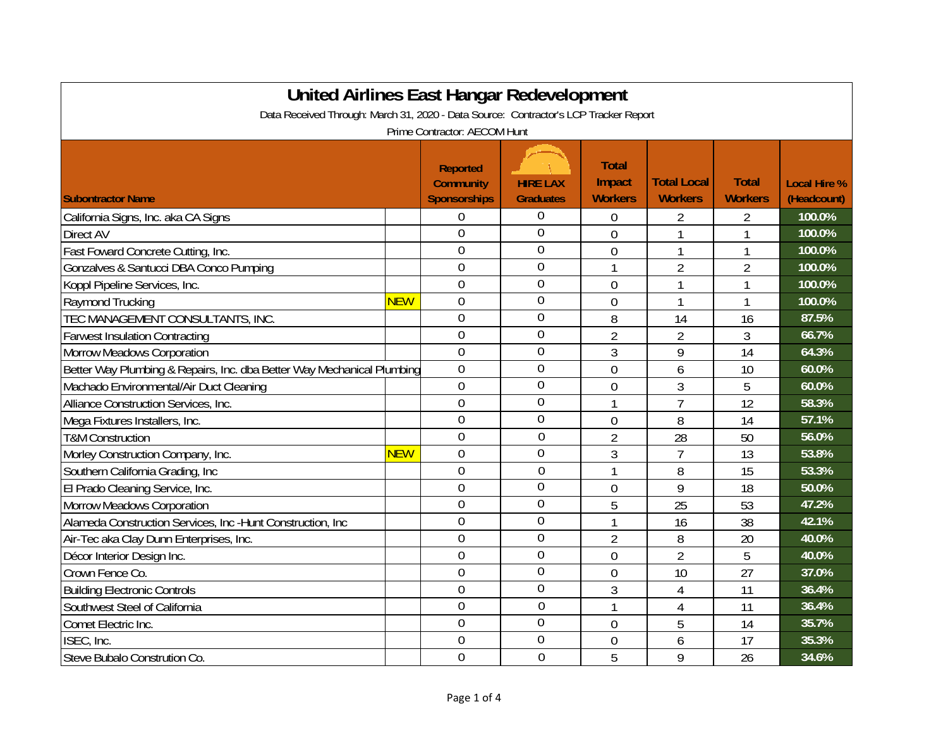| United Airlines East Hangar Redevelopment                                            |            |                                                            |                                     |                                          |                                      |                                |                                    |  |
|--------------------------------------------------------------------------------------|------------|------------------------------------------------------------|-------------------------------------|------------------------------------------|--------------------------------------|--------------------------------|------------------------------------|--|
| Data Received Through: March 31, 2020 - Data Source: Contractor's LCP Tracker Report |            |                                                            |                                     |                                          |                                      |                                |                                    |  |
| Prime Contractor: AECOM Hunt                                                         |            |                                                            |                                     |                                          |                                      |                                |                                    |  |
| <b>Subontractor Name</b>                                                             |            | <b>Reported</b><br><b>Community</b><br><b>Sponsorships</b> | <b>HIRE LAX</b><br><b>Graduates</b> | <b>Total</b><br>Impact<br><b>Workers</b> | <b>Total Local</b><br><b>Workers</b> | <b>Total</b><br><b>Workers</b> | <b>Local Hire %</b><br>(Headcount) |  |
| California Signs, Inc. aka CA Signs                                                  |            | $\Omega$                                                   | 0                                   | 0                                        | 2                                    | 2                              | 100.0%                             |  |
| Direct AV                                                                            |            | $\overline{0}$                                             | $\mathbf 0$                         | $\overline{0}$                           |                                      |                                | 100.0%                             |  |
| Fast Foward Concrete Cutting, Inc.                                                   |            | $\overline{0}$                                             | $\mathbf 0$                         | $\mathbf 0$                              | 1                                    | $\mathbf{1}$                   | 100.0%                             |  |
| Gonzalves & Santucci DBA Conco Pumping                                               |            | $\mathbf 0$                                                | $\overline{0}$                      | 1                                        | $\overline{2}$                       | $\overline{2}$                 | 100.0%                             |  |
| Koppl Pipeline Services, Inc.                                                        |            | $\overline{0}$                                             | $\mathbf 0$                         | $\overline{0}$                           |                                      | 1                              | 100.0%                             |  |
| Raymond Trucking                                                                     | <b>NEW</b> | $\overline{0}$                                             | $\mathbf 0$                         | $\mathbf 0$                              | 1                                    | 1                              | 100.0%                             |  |
| TEC MANAGEMENT CONSULTANTS, INC.                                                     |            | $\mathbf 0$                                                | $\theta$                            | 8                                        | 14                                   | 16                             | 87.5%                              |  |
| <b>Farwest Insulation Contracting</b>                                                |            | $\mathbf 0$                                                | $\overline{0}$                      | $\overline{2}$                           | $\overline{2}$                       | 3                              | 66.7%                              |  |
| <b>Morrow Meadows Corporation</b>                                                    |            | $\overline{0}$                                             | $\overline{0}$                      | 3                                        | 9                                    | 14                             | 64.3%                              |  |
| Better Way Plumbing & Repairs, Inc. dba Better Way Mechanical Plumbing               |            | $\overline{0}$                                             | 0                                   | $\boldsymbol{0}$                         | 6                                    | 10                             | 60.0%                              |  |
| Machado Environmental/Air Duct Cleaning                                              |            | $\overline{0}$                                             | $\overline{0}$                      | $\mathbf 0$                              | 3                                    | 5                              | 60.0%                              |  |
| Alliance Construction Services, Inc.                                                 |            | $\overline{0}$                                             | $\overline{0}$                      |                                          | $\overline{7}$                       | 12                             | 58.3%                              |  |
| Mega Fixtures Installers, Inc.                                                       |            | $\overline{0}$                                             | $\mathbf 0$                         | $\boldsymbol{0}$                         | 8                                    | 14                             | 57.1%                              |  |
| <b>T&amp;M Construction</b>                                                          |            | $\mathbf 0$                                                | $\mathbf 0$                         | $\overline{2}$                           | 28                                   | 50                             | 56.0%                              |  |
| Morley Construction Company, Inc.                                                    | <b>NEW</b> | $\overline{0}$                                             | $\overline{0}$                      | 3                                        | $\overline{7}$                       | 13                             | 53.8%                              |  |
| Southern California Grading, Inc.                                                    |            | $\overline{0}$                                             | $\overline{0}$                      | 1                                        | 8                                    | 15                             | 53.3%                              |  |
| El Prado Cleaning Service, Inc.                                                      |            | $\overline{0}$                                             | $\overline{0}$                      | $\overline{0}$                           | 9                                    | 18                             | 50.0%                              |  |
| Morrow Meadows Corporation                                                           |            | $\overline{0}$                                             | $\overline{0}$                      | 5                                        | 25                                   | 53                             | 47.2%                              |  |
| Alameda Construction Services, Inc -Hunt Construction, Inc                           |            | $\overline{0}$                                             | $\mathbf 0$                         |                                          | 16                                   | 38                             | 42.1%                              |  |
| Air-Tec aka Clay Dunn Enterprises, Inc.                                              |            | $\overline{0}$                                             | $\mathbf 0$                         | $\overline{2}$                           | 8                                    | 20                             | 40.0%                              |  |
| Décor Interior Design Inc.                                                           |            | $\mathbf 0$                                                | $\mathbf 0$                         | $\mathbf 0$                              | 2                                    | 5                              | 40.0%                              |  |
| Crown Fence Co.                                                                      |            | $\overline{0}$                                             | $\mathbf 0$                         | $\mathbf 0$                              | 10                                   | 27                             | 37.0%                              |  |
| <b>Building Electronic Controls</b>                                                  |            | $\theta$                                                   | $\overline{0}$                      | 3                                        | 4                                    | 11                             | 36.4%                              |  |
| Southwest Steel of California                                                        |            | $\overline{0}$                                             | $\overline{0}$                      | 1                                        | 4                                    | 11                             | 36.4%                              |  |
| Comet Electric Inc.                                                                  |            | $\overline{0}$                                             | $\overline{0}$                      | $\mathbf 0$                              | 5                                    | 14                             | 35.7%                              |  |
| ISEC, Inc.                                                                           |            | $\overline{0}$                                             | $\overline{0}$                      | $\boldsymbol{0}$                         | 6                                    | 17                             | 35.3%                              |  |
| Steve Bubalo Constrution Co.                                                         |            | $\overline{0}$                                             | $\overline{0}$                      | 5                                        | 9                                    | 26                             | 34.6%                              |  |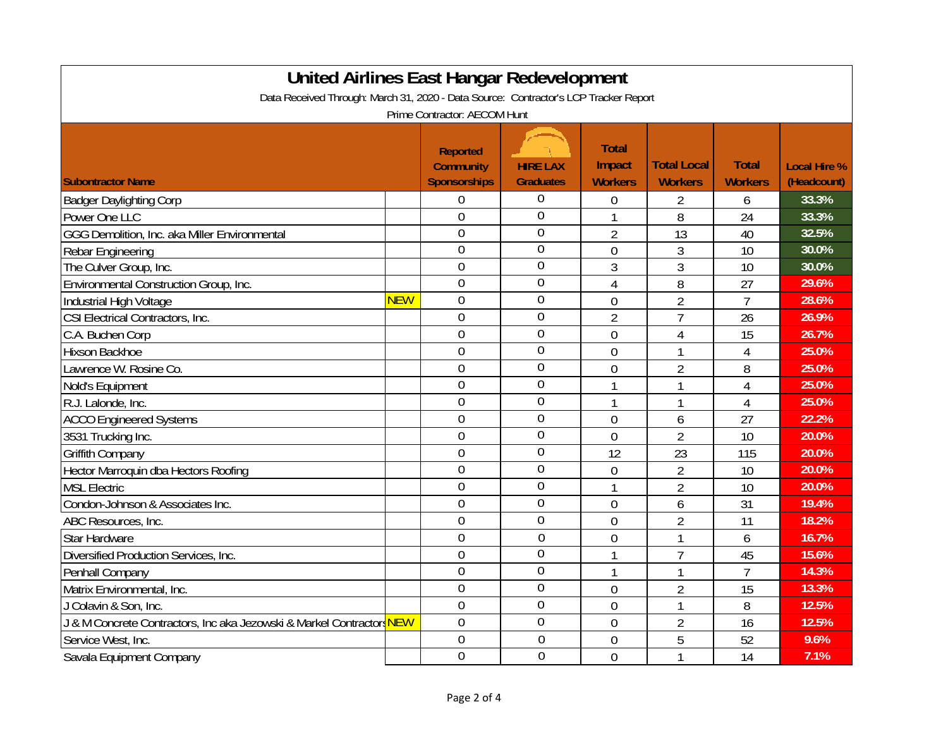| United Airlines East Hangar Redevelopment                                            |            |                     |                  |                |                    |                |                     |  |  |
|--------------------------------------------------------------------------------------|------------|---------------------|------------------|----------------|--------------------|----------------|---------------------|--|--|
| Data Received Through: March 31, 2020 - Data Source: Contractor's LCP Tracker Report |            |                     |                  |                |                    |                |                     |  |  |
| Prime Contractor: AECOM Hunt                                                         |            |                     |                  |                |                    |                |                     |  |  |
|                                                                                      |            |                     |                  |                |                    |                |                     |  |  |
|                                                                                      |            | <b>Reported</b>     |                  | <b>Total</b>   |                    |                |                     |  |  |
|                                                                                      |            | <b>Community</b>    | <b>HIRE LAX</b>  | Impact         | <b>Total Local</b> | <b>Total</b>   | <b>Local Hire %</b> |  |  |
| <b>Subontractor Name</b>                                                             |            | <b>Sponsorships</b> | <b>Graduates</b> | <b>Workers</b> | <b>Workers</b>     | <b>Workers</b> | (Headcount)         |  |  |
| <b>Badger Daylighting Corp</b>                                                       |            | $\theta$            | $\mathbf 0$      | 0              | 2                  | 6              | 33.3%               |  |  |
| Power One LLC                                                                        |            | $\overline{0}$      | $\overline{0}$   | 1              | 8                  | 24             | 33.3%               |  |  |
| GGG Demolition, Inc. aka Miller Environmental                                        |            | $\overline{0}$      | $\overline{0}$   | $\overline{2}$ | 13                 | 40             | 32.5%               |  |  |
| Rebar Engineering                                                                    |            | $\overline{0}$      | $\overline{0}$   | $\overline{0}$ | 3                  | 10             | 30.0%               |  |  |
| The Culver Group, Inc.                                                               |            | $\overline{0}$      | $\mathbf 0$      | 3              | 3                  | 10             | 30.0%               |  |  |
| Environmental Construction Group, Inc.                                               |            | $\overline{0}$      | $\mathbf 0$      | $\overline{4}$ | 8                  | 27             | 29.6%               |  |  |
| Industrial High Voltage                                                              | <b>NEW</b> | $\overline{0}$      | $\overline{0}$   | $\mathbf 0$    | $\overline{2}$     | $\overline{7}$ | 28.6%               |  |  |
| CSI Electrical Contractors, Inc.                                                     |            | $\overline{0}$      | $\overline{0}$   | $\overline{2}$ | $\overline{7}$     | 26             | 26.9%               |  |  |
| C.A. Buchen Corp                                                                     |            | $\overline{0}$      | $\theta$         | $\overline{0}$ | 4                  | 15             | 26.7%               |  |  |
| Hixson Backhoe                                                                       |            | $\overline{0}$      | $\theta$         | $\overline{0}$ | 1                  | 4              | 25.0%               |  |  |
| Lawrence W. Rosine Co.                                                               |            | $\overline{0}$      | $\overline{0}$   | $\overline{0}$ | $\overline{2}$     | 8              | 25.0%               |  |  |
| Nold's Equipment                                                                     |            | $\overline{0}$      | $\theta$         | $\mathbf{1}$   | 1                  | $\overline{4}$ | 25.0%               |  |  |
| R.J. Lalonde, Inc.                                                                   |            | $\overline{0}$      | $\theta$         | $\mathbf{1}$   | $\mathbf{1}$       | $\overline{4}$ | 25.0%               |  |  |
| <b>ACCO Engineered Systems</b>                                                       |            | $\overline{0}$      | $\overline{0}$   | $\overline{0}$ | 6                  | 27             | 22.2%               |  |  |
| 3531 Trucking Inc.                                                                   |            | $\overline{0}$      | $\overline{0}$   | $\overline{0}$ | $\overline{2}$     | 10             | 20.0%               |  |  |
| <b>Griffith Company</b>                                                              |            | $\overline{0}$      | $\overline{0}$   | 12             | 23                 | 115            | 20.0%               |  |  |
| Hector Marroquin dba Hectors Roofing                                                 |            | $\overline{0}$      | $\overline{0}$   | $\mathbf 0$    | $\overline{2}$     | 10             | 20.0%               |  |  |
| <b>MSL Electric</b>                                                                  |            | $\overline{0}$      | $\overline{0}$   | $\mathbf{1}$   | $\overline{2}$     | 10             | 20.0%               |  |  |
| Condon-Johnson & Associates Inc.                                                     |            | $\overline{0}$      | $\overline{0}$   | $\overline{0}$ | 6                  | 31             | 19.4%               |  |  |
| ABC Resources, Inc.                                                                  |            | $\overline{0}$      | $\overline{0}$   | $\overline{0}$ | $\overline{2}$     | 11             | 18.2%               |  |  |
| <b>Star Hardware</b>                                                                 |            | $\overline{0}$      | $\theta$         | $\overline{0}$ | $\mathbf{1}$       | 6              | 16.7%               |  |  |
| Diversified Production Services, Inc.                                                |            | $\overline{0}$      | $\overline{0}$   | 1              | $\overline{7}$     | 45             | 15.6%               |  |  |
| Penhall Company                                                                      |            | $\overline{0}$      | $\overline{0}$   | 1              | $\mathbf{1}$       | $\overline{7}$ | 14.3%               |  |  |
| Matrix Environmental, Inc.                                                           |            | $\overline{0}$      | $\overline{0}$   | $\overline{0}$ | $\overline{2}$     | 15             | 13.3%               |  |  |
| J Colavin & Son, Inc.                                                                |            | $\overline{0}$      | $\overline{0}$   | $\overline{0}$ | 1                  | 8              | 12.5%               |  |  |
| J & M Concrete Contractors, Inc aka Jezowski & Markel Contractors NEW                |            | $\overline{0}$      | $\overline{0}$   | $\overline{0}$ | $\overline{2}$     | 16             | 12.5%               |  |  |
| Service West, Inc.                                                                   |            | $\overline{0}$      | $\overline{0}$   | $\mathbf 0$    | 5                  | 52             | 9.6%                |  |  |
| Savala Equipment Company                                                             |            | $\mathbf 0$         | $\overline{0}$   | 0              |                    | 14             | 7.1%                |  |  |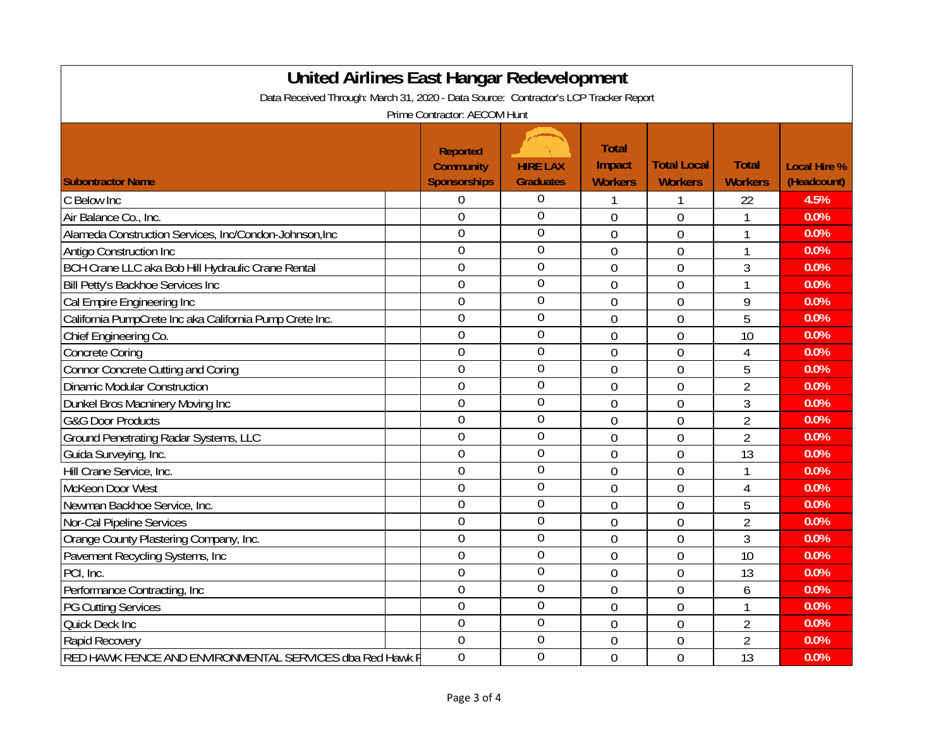| <b>United Airlines East Hangar Redevelopment</b>                                     |                                     |                  |                        |                    |                |                     |  |  |
|--------------------------------------------------------------------------------------|-------------------------------------|------------------|------------------------|--------------------|----------------|---------------------|--|--|
| Data Received Through: March 31, 2020 - Data Source: Contractor's LCP Tracker Report |                                     |                  |                        |                    |                |                     |  |  |
| Prime Contractor: AECOM Hunt                                                         |                                     |                  |                        |                    |                |                     |  |  |
|                                                                                      | <b>Reported</b><br><b>Community</b> | <b>HIRE LAX</b>  | <b>Total</b><br>Impact | <b>Total Local</b> | <b>Total</b>   | <b>Local Hire %</b> |  |  |
| <b>Subontractor Name</b>                                                             | <b>Sponsorships</b>                 | <b>Graduates</b> | <b>Workers</b>         | <b>Workers</b>     | <b>Workers</b> | (Headcount)         |  |  |
| C Below Inc                                                                          | $\overline{0}$                      | 0                |                        |                    | 22             | 4.5%                |  |  |
| Air Balance Co., Inc.                                                                | $\overline{0}$                      | $\overline{0}$   | $\overline{0}$         | $\overline{0}$     | 1              | 0.0%                |  |  |
| Alameda Construction Services, Inc/Condon-Johnson, Inc                               | $\overline{0}$                      | $\overline{0}$   | $\overline{0}$         | $\overline{0}$     | $\mathbf{1}$   | 0.0%                |  |  |
| <b>Antigo Construction Inc</b>                                                       | $\overline{0}$                      | $\overline{0}$   | $\overline{0}$         | $\overline{0}$     | 1              | 0.0%                |  |  |
| BCH Crane LLC aka Bob Hill Hydraulic Crane Rental                                    | $\overline{0}$                      | $\overline{0}$   | $\overline{0}$         | $\overline{0}$     | 3              | 0.0%                |  |  |
| Bill Petty's Backhoe Services Inc                                                    | $\overline{0}$                      | $\mathbf 0$      | $\overline{0}$         | $\overline{0}$     | $\mathbf{1}$   | 0.0%                |  |  |
| Cal Empire Engineering Inc                                                           | $\overline{0}$                      | $\mathbf 0$      | $\overline{0}$         | $\overline{0}$     | 9              | 0.0%                |  |  |
| California PumpCrete Inc aka California Pump Crete Inc.                              | $\overline{0}$                      | $\overline{0}$   | $\overline{0}$         | $\overline{0}$     | 5              | 0.0%                |  |  |
| Chief Engineering Co.                                                                | $\overline{0}$                      | $\overline{0}$   | $\overline{0}$         | $\overline{0}$     | 10             | 0.0%                |  |  |
| Concrete Coring                                                                      | $\overline{0}$                      | $\overline{0}$   | $\overline{0}$         | $\overline{0}$     | $\overline{4}$ | 0.0%                |  |  |
| Connor Concrete Cutting and Coring                                                   | $\overline{0}$                      | $\overline{0}$   | $\overline{0}$         | $\overline{0}$     | 5              | 0.0%                |  |  |
| Dinamic Modular Construction                                                         | $\overline{0}$                      | $\overline{0}$   | $\overline{0}$         | $\overline{0}$     | $\overline{2}$ | 0.0%                |  |  |
| Dunkel Bros Macninery Moving Inc                                                     | $\overline{0}$                      | 0                | $\overline{0}$         | $\overline{0}$     | 3              | 0.0%                |  |  |
| <b>G&amp;G Door Products</b>                                                         | $\overline{0}$                      | $\overline{0}$   | $\overline{0}$         | $\overline{0}$     | $\overline{2}$ | 0.0%                |  |  |
| <b>Ground Penetrating Radar Systems, LLC</b>                                         | $\mathbf{0}$                        | $\overline{0}$   | $\overline{0}$         | $\overline{0}$     | $\overline{2}$ | 0.0%                |  |  |
| Guida Surveying, Inc.                                                                | $\overline{0}$                      | $\mathbf 0$      | $\overline{0}$         | $\mathbf 0$        | 13             | 0.0%                |  |  |
| Hill Crane Service, Inc.                                                             | $\overline{0}$                      | $\overline{0}$   | $\overline{0}$         | $\overline{0}$     | $\mathbf{1}$   | 0.0%                |  |  |
| McKeon Door West                                                                     | $\overline{0}$                      | $\overline{0}$   | $\overline{0}$         | $\overline{0}$     | $\overline{4}$ | 0.0%                |  |  |
| Newman Backhoe Service, Inc.                                                         | $\overline{0}$                      | $\overline{0}$   | $\overline{0}$         | $\overline{0}$     | 5              | 0.0%                |  |  |
| Nor-Cal Pipeline Services                                                            | $\overline{0}$                      | $\overline{0}$   | $\overline{0}$         | $\overline{0}$     | $\overline{2}$ | 0.0%                |  |  |
| Orange County Plastering Company, Inc.                                               | $\overline{0}$                      | $\overline{0}$   | $\overline{0}$         | $\overline{0}$     | 3              | 0.0%                |  |  |
| Pavement Recycling Systems, Inc                                                      | $\overline{0}$                      | 0                | $\overline{0}$         | $\overline{0}$     | 10             | 0.0%                |  |  |
| PCI, Inc.                                                                            | $\overline{0}$                      | $\overline{0}$   | $\overline{0}$         | $\overline{0}$     | 13             | 0.0%                |  |  |
| Performance Contracting, Inc                                                         | $\mathbf{0}$                        | $\mathbf 0$      | $\overline{0}$         | $\overline{0}$     | 6              | 0.0%                |  |  |
| <b>PG Cutting Services</b>                                                           | $\overline{0}$                      | $\mathbf 0$      | $\overline{0}$         | $\overline{0}$     | 1              | 0.0%                |  |  |
| <b>Quick Deck Inc</b>                                                                | $\overline{0}$                      | $\overline{0}$   | $\overline{0}$         | $\overline{0}$     | $\overline{2}$ | 0.0%                |  |  |
| Rapid Recovery                                                                       | $\overline{0}$                      | $\overline{0}$   | $\overline{0}$         | $\mathbf 0$        | $\overline{2}$ | 0.0%                |  |  |
| RED HAWK FENCE AND ENVIRONMENTAL SERVICES dba Red Hawk F                             | $\overline{0}$                      | $\overline{0}$   | $\overline{0}$         | 13                 | 0.0%           |                     |  |  |